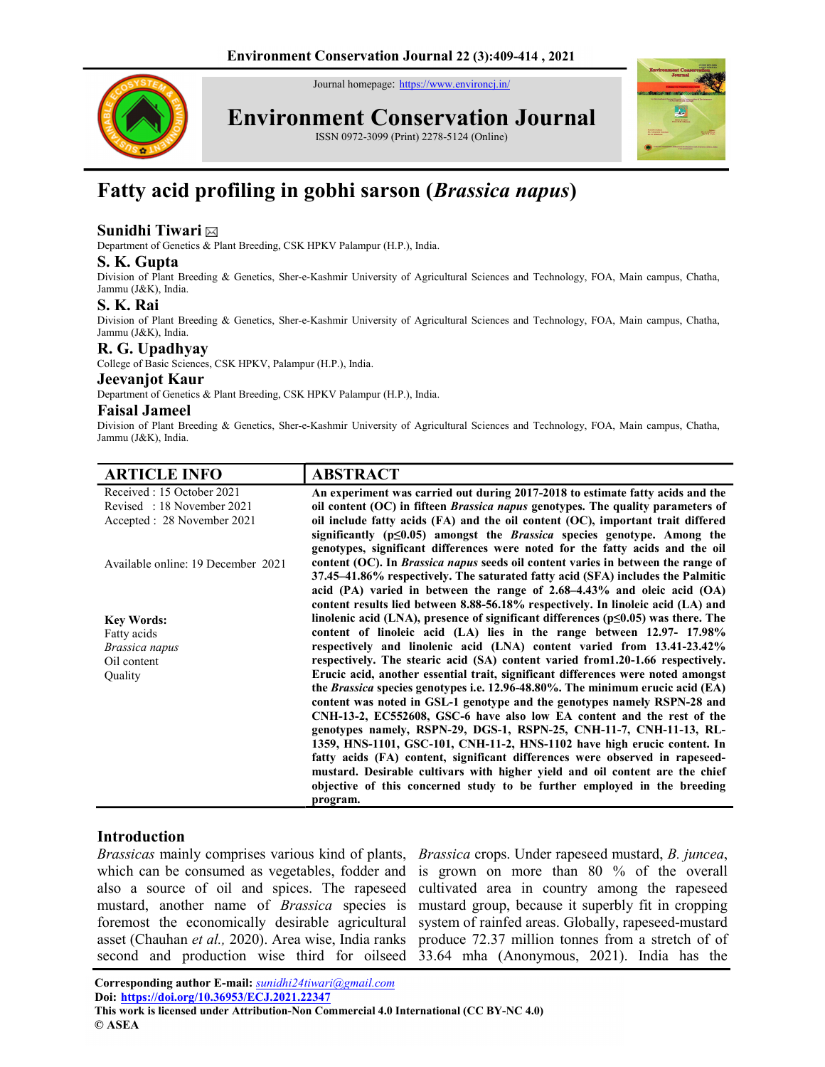Journal homepage: https://www.environcj.in/



Environment Conservation Journal

ISSN 0972-3099 (Print) 2278-5124 (Online)



# Fatty acid profiling in gobhi sarson (Brassica napus)

# Sunidhi Tiwari

Department of Genetics & Plant Breeding, CSK HPKV Palampur (H.P.), India.

## S. K. Gupta

Division of Plant Breeding & Genetics, Sher-e-Kashmir University of Agricultural Sciences and Technology, FOA, Main campus, Chatha, Jammu (J&K), India.

#### S. K. Rai

Division of Plant Breeding & Genetics, Sher-e-Kashmir University of Agricultural Sciences and Technology, FOA, Main campus, Chatha, Jammu (J&K), India.

## R. G. Upadhyay

College of Basic Sciences, CSK HPKV, Palampur (H.P.), India.

#### Jeevanjot Kaur

Department of Genetics & Plant Breeding, CSK HPKV Palampur (H.P.), India.

#### Faisal Jameel

Division of Plant Breeding & Genetics, Sher-e-Kashmir University of Agricultural Sciences and Technology, FOA, Main campus, Chatha, Jammu (J&K), India.

| <b>ARTICLE INFO</b>                | <b>ABSTRACT</b>                                                                           |
|------------------------------------|-------------------------------------------------------------------------------------------|
| Received: 15 October 2021          | An experiment was carried out during 2017-2018 to estimate fatty acids and the            |
| Revised: 18 November 2021          | oil content (OC) in fifteen <i>Brassica napus</i> genotypes. The quality parameters of    |
| Accepted : 28 November 2021        | oil include fatty acids (FA) and the oil content (OC), important trait differed           |
|                                    | significantly $(p\leq 0.05)$ amongst the <i>Brassica</i> species genotype. Among the      |
|                                    | genotypes, significant differences were noted for the fatty acids and the oil             |
| Available online: 19 December 2021 | content (OC). In <i>Brassica napus</i> seeds oil content varies in between the range of   |
|                                    | 37.45–41.86% respectively. The saturated fatty acid (SFA) includes the Palmitic           |
|                                    | acid (PA) varied in between the range of $2.68-4.43\%$ and oleic acid (OA)                |
|                                    | content results lied between 8.88-56.18% respectively. In linoleic acid (LA) and          |
| <b>Key Words:</b>                  | linolenic acid (LNA), presence of significant differences ( $p\leq 0.05$ ) was there. The |
| Fatty acids                        | content of linoleic acid (LA) lies in the range between 12.97- 17.98%                     |
| Brassica napus                     | respectively and linolenic acid (LNA) content varied from 13.41-23.42%                    |
| Oil content                        | respectively. The stearic acid (SA) content varied from1.20-1.66 respectively.            |
| Quality                            | Erucic acid, another essential trait, significant differences were noted amongst          |
|                                    | the Brassica species genotypes i.e. 12.96-48.80%. The minimum erucic acid (EA)            |
|                                    | content was noted in GSL-1 genotype and the genotypes namely RSPN-28 and                  |
|                                    | CNH-13-2, EC552608, GSC-6 have also low EA content and the rest of the                    |
|                                    | genotypes namely, RSPN-29, DGS-1, RSPN-25, CNH-11-7, CNH-11-13, RL-                       |
|                                    | 1359, HNS-1101, GSC-101, CNH-11-2, HNS-1102 have high erucic content. In                  |
|                                    | fatty acids (FA) content, significant differences were observed in rapeseed-              |
|                                    | mustard. Desirable cultivars with higher yield and oil content are the chief              |
|                                    | objective of this concerned study to be further employed in the breeding                  |
|                                    | program.                                                                                  |

## Introduction

Brassicas mainly comprises various kind of plants, Brassica crops. Under rapeseed mustard, B. juncea, which can be consumed as vegetables, fodder and also a source of oil and spices. The rapeseed mustard, another name of Brassica species is foremost the economically desirable agricultural asset (Chauhan et al., 2020). Area wise, India ranks

second and production wise third for oilseed 33.64 mha (Anonymous, 2021). India has the is grown on more than 80 % of the overall cultivated area in country among the rapeseed mustard group, because it superbly fit in cropping system of rainfed areas. Globally, rapeseed-mustard produce 72.37 million tonnes from a stretch of of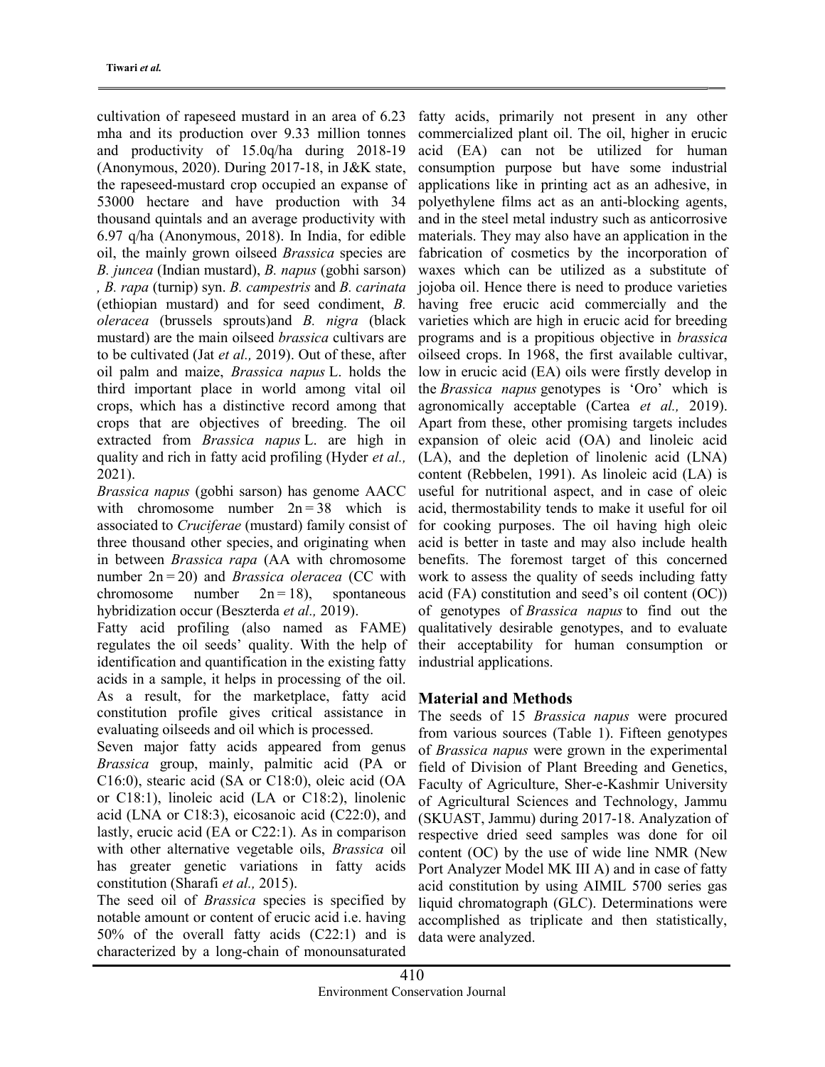cultivation of rapeseed mustard in an area of 6.23 mha and its production over 9.33 million tonnes and productivity of 15.0q/ha during 2018-19 (Anonymous, 2020). During 2017-18, in J&K state, the rapeseed-mustard crop occupied an expanse of 53000 hectare and have production with 34 thousand quintals and an average productivity with 6.97 q/ha (Anonymous, 2018). In India, for edible oil, the mainly grown oilseed Brassica species are B. juncea (Indian mustard), B. napus (gobhi sarson) , B. rapa (turnip) syn. B. campestris and B. carinata (ethiopian mustard) and for seed condiment, B. oleracea (brussels sprouts)and B. nigra (black mustard) are the main oilseed *brassica* cultivars are to be cultivated (Jat et al., 2019). Out of these, after oil palm and maize, Brassica napus L. holds the third important place in world among vital oil crops, which has a distinctive record among that crops that are objectives of breeding. The oil extracted from Brassica napus L. are high in quality and rich in fatty acid profiling (Hyder et al., 2021).

Brassica napus (gobhi sarson) has genome AACC with chromosome number  $2n = 38$  which is associated to Cruciferae (mustard) family consist of three thousand other species, and originating when in between Brassica rapa (AA with chromosome number  $2n = 20$ ) and *Brassica oleracea* (CC with chromosome number  $2n = 18$ , spontaneous hybridization occur (Beszterda et al., 2019).

Fatty acid profiling (also named as FAME) regulates the oil seeds' quality. With the help of identification and quantification in the existing fatty acids in a sample, it helps in processing of the oil. As a result, for the marketplace, fatty acid constitution profile gives critical assistance in evaluating oilseeds and oil which is processed.

Seven major fatty acids appeared from genus Brassica group, mainly, palmitic acid (PA or C16:0), stearic acid (SA or C18:0), oleic acid (OA or C18:1), linoleic acid (LA or C18:2), linolenic acid (LNA or C18:3), eicosanoic acid (C22:0), and lastly, erucic acid (EA or C22:1). As in comparison with other alternative vegetable oils, *Brassica* oil has greater genetic variations in fatty acids constitution (Sharafi et al., 2015).

The seed oil of *Brassica* species is specified by notable amount or content of erucic acid i.e. having 50% of the overall fatty acids (C22:1) and is characterized by a long-chain of monounsaturated

fatty acids, primarily not present in any other commercialized plant oil. The oil, higher in erucic acid (EA) can not be utilized for human consumption purpose but have some industrial applications like in printing act as an adhesive, in polyethylene films act as an anti-blocking agents, and in the steel metal industry such as anticorrosive materials. They may also have an application in the fabrication of cosmetics by the incorporation of waxes which can be utilized as a substitute of jojoba oil. Hence there is need to produce varieties having free erucic acid commercially and the varieties which are high in erucic acid for breeding programs and is a propitious objective in brassica oilseed crops. In 1968, the first available cultivar, low in erucic acid (EA) oils were firstly develop in the Brassica napus genotypes is 'Oro' which is agronomically acceptable (Cartea et al., 2019). Apart from these, other promising targets includes expansion of oleic acid (OA) and linoleic acid (LA), and the depletion of linolenic acid (LNA) content (Rebbelen, 1991). As linoleic acid (LA) is useful for nutritional aspect, and in case of oleic acid, thermostability tends to make it useful for oil for cooking purposes. The oil having high oleic acid is better in taste and may also include health benefits. The foremost target of this concerned work to assess the quality of seeds including fatty acid (FA) constitution and seed's oil content (OC)) of genotypes of Brassica napus to find out the qualitatively desirable genotypes, and to evaluate their acceptability for human consumption or industrial applications.

# Material and Methods

The seeds of 15 Brassica napus were procured from various sources (Table 1). Fifteen genotypes of Brassica napus were grown in the experimental field of Division of Plant Breeding and Genetics, Faculty of Agriculture, Sher-e-Kashmir University of Agricultural Sciences and Technology, Jammu (SKUAST, Jammu) during 2017-18. Analyzation of respective dried seed samples was done for oil content (OC) by the use of wide line NMR (New Port Analyzer Model MK III A) and in case of fatty acid constitution by using AIMIL 5700 series gas liquid chromatograph (GLC). Determinations were accomplished as triplicate and then statistically, data were analyzed.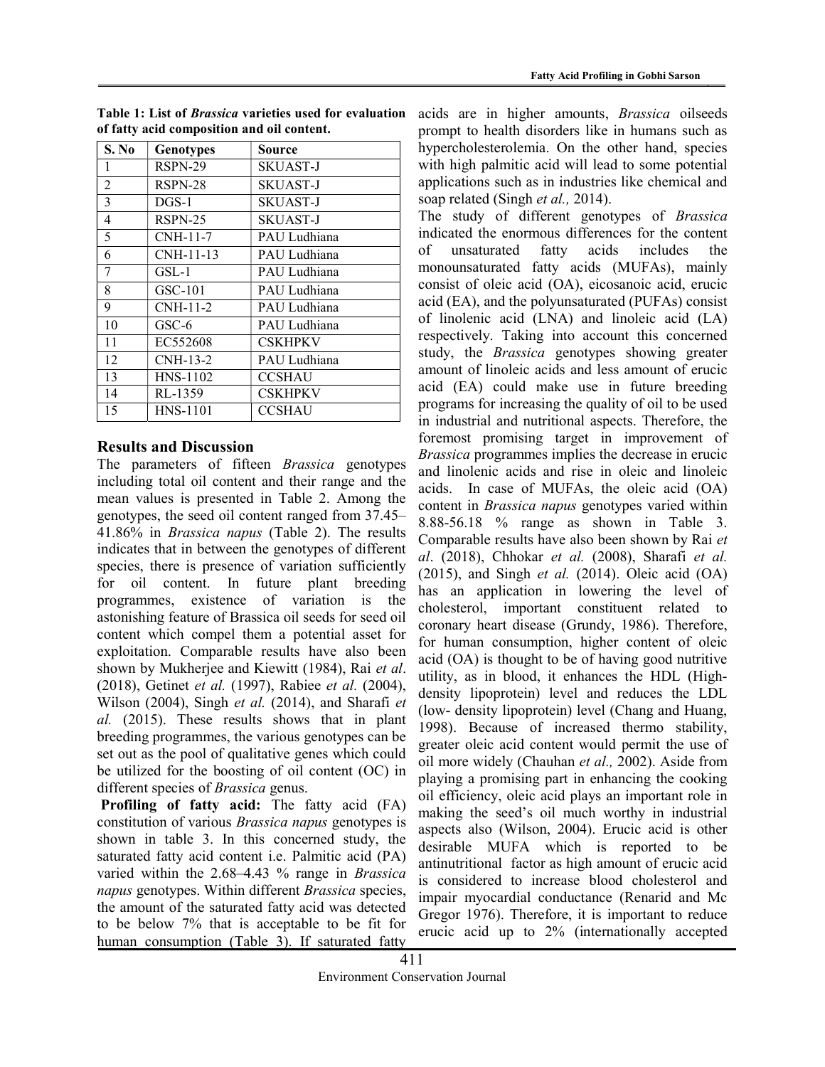| S. No          | <b>Genotypes</b> | Source         |
|----------------|------------------|----------------|
| 1              | RSPN-29          | SKUAST-J       |
| $\overline{2}$ | RSPN-28          | SKUAST-J       |
| 3              | $DGS-1$          | SKUAST-J       |
| 4              | $RSPN-25$        | SKUAST-J       |
| 5              | CNH-11-7         | PAU Ludhiana   |
| 6              | CNH-11-13        | PAU Ludhiana   |
| 7              | GSL-1            | PAU Ludhiana   |
| 8              | $GSC-101$        | PAU Ludhiana   |
| 9              | CNH-11-2         | PAU Ludhiana   |
| 10             | GSC-6            | PAU Ludhiana   |
| 11             | EC552608         | <b>CSKHPKV</b> |
| 12             | CNH-13-2         | PAU Ludhiana   |
| 13             | HNS-1102         | <b>CCSHAU</b>  |
| 14             | RL-1359          | <b>CSKHPKV</b> |
| 15             | HNS-1101         | <b>CCSHAU</b>  |

Table 1: List of Brassica varieties used for evaluation of fatty acid composition and oil content.

## Results and Discussion

The parameters of fifteen *Brassica* genotypes including total oil content and their range and the mean values is presented in Table 2. Among the genotypes, the seed oil content ranged from 37.45– 41.86% in Brassica napus (Table 2). The results indicates that in between the genotypes of different species, there is presence of variation sufficiently for oil content. In future plant breeding programmes, existence of variation is the astonishing feature of Brassica oil seeds for seed oil content which compel them a potential asset for exploitation. Comparable results have also been shown by Mukherjee and Kiewitt (1984), Rai et al. (2018), Getinet et al. (1997), Rabiee et al. (2004), Wilson (2004), Singh et al. (2014), and Sharafi et al. (2015). These results shows that in plant breeding programmes, the various genotypes can be set out as the pool of qualitative genes which could be utilized for the boosting of oil content (OC) in different species of *Brassica* genus.

Profiling of fatty acid: The fatty acid (FA) constitution of various Brassica napus genotypes is shown in table 3. In this concerned study, the saturated fatty acid content i.e. Palmitic acid (PA) varied within the 2.68–4.43 % range in Brassica napus genotypes. Within different Brassica species, the amount of the saturated fatty acid was detected to be below 7% that is acceptable to be fit for human consumption (Table 3). If saturated fatty

acids are in higher amounts, Brassica oilseeds prompt to health disorders like in humans such as hypercholesterolemia. On the other hand, species with high palmitic acid will lead to some potential applications such as in industries like chemical and soap related (Singh *et al.*, 2014).

The study of different genotypes of *Brassica* indicated the enormous differences for the content of unsaturated fatty acids includes the monounsaturated fatty acids (MUFAs), mainly consist of oleic acid (OA), eicosanoic acid, erucic acid (EA), and the polyunsaturated (PUFAs) consist of linolenic acid (LNA) and linoleic acid (LA) respectively. Taking into account this concerned study, the Brassica genotypes showing greater amount of linoleic acids and less amount of erucic acid (EA) could make use in future breeding programs for increasing the quality of oil to be used in industrial and nutritional aspects. Therefore, the foremost promising target in improvement of Brassica programmes implies the decrease in erucic and linolenic acids and rise in oleic and linoleic acids. In case of MUFAs, the oleic acid (OA) content in Brassica napus genotypes varied within 8.88-56.18 % range as shown in Table 3. Comparable results have also been shown by Rai et al.  $(2018)$ , Chhokar et al.  $(2008)$ , Sharafi et al.  $(2015)$ , and Singh *et al.*  $(2014)$ . Oleic acid  $(OA)$ has an application in lowering the level of cholesterol, important constituent related to coronary heart disease (Grundy, 1986). Therefore, for human consumption, higher content of oleic acid (OA) is thought to be of having good nutritive utility, as in blood, it enhances the HDL (Highdensity lipoprotein) level and reduces the LDL (low- density lipoprotein) level (Chang and Huang, 1998). Because of increased thermo stability, greater oleic acid content would permit the use of oil more widely (Chauhan et al., 2002). Aside from playing a promising part in enhancing the cooking oil efficiency, oleic acid plays an important role in making the seed's oil much worthy in industrial aspects also (Wilson, 2004). Erucic acid is other desirable MUFA which is reported to be antinutritional factor as high amount of erucic acid is considered to increase blood cholesterol and impair myocardial conductance (Renarid and Mc Gregor 1976). Therefore, it is important to reduce erucic acid up to 2% (internationally accepted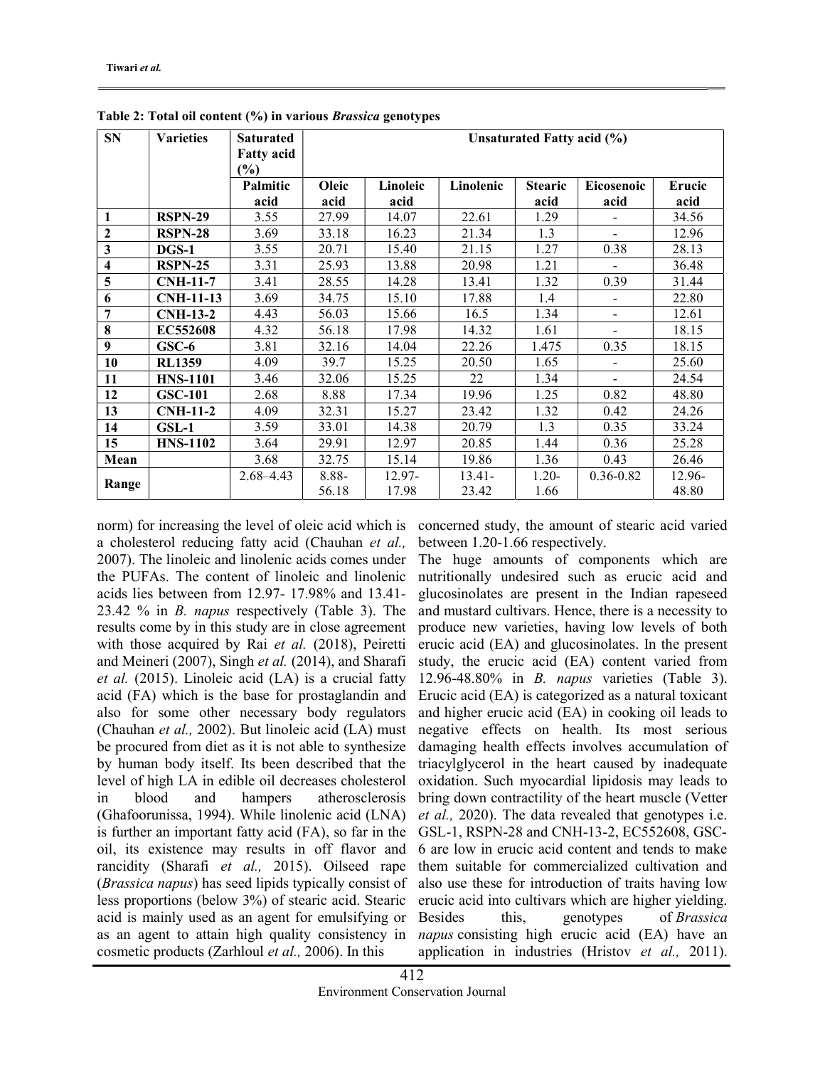| <b>SN</b>               | <b>Varieties</b> | <b>Saturated</b><br><b>Fatty acid</b> | Unsaturated Fatty acid (%) |           |           |                |                          |               |
|-------------------------|------------------|---------------------------------------|----------------------------|-----------|-----------|----------------|--------------------------|---------------|
|                         |                  | $(\%)$                                |                            |           |           |                |                          |               |
|                         |                  | Palmitic                              | Oleic                      | Linoleic  | Linolenic | <b>Stearic</b> | <b>Eicosenoic</b>        | <b>Erucic</b> |
|                         |                  | acid                                  | acid                       | acid      |           | acid           | acid                     | acid          |
| 1                       | <b>RSPN-29</b>   | 3.55                                  | 27.99                      | 14.07     | 22.61     | 1.29           |                          | 34.56         |
| $\boldsymbol{2}$        | $RSPN-28$        | 3.69                                  | 33.18                      | 16.23     | 21.34     | 1.3            | $\overline{a}$           | 12.96         |
| 3                       | $DGS-1$          | 3.55                                  | 20.71                      | 15.40     | 21.15     | 1.27           | 0.38                     | 28.13         |
| $\overline{\mathbf{4}}$ | <b>RSPN-25</b>   | 3.31                                  | 25.93                      | 13.88     | 20.98     | 1.21           |                          | 36.48         |
| 5                       | <b>CNH-11-7</b>  | 3.41                                  | 28.55                      | 14.28     | 13.41     | 1.32           | 0.39                     | 31.44         |
| 6                       | <b>CNH-11-13</b> | 3.69                                  | 34.75                      | 15.10     | 17.88     | 1.4            | $\overline{\phantom{0}}$ | 22.80         |
| 7                       | $CNH-13-2$       | 4.43                                  | 56.03                      | 15.66     | 16.5      | 1.34           | $\overline{\phantom{0}}$ | 12.61         |
| 8                       | <b>EC552608</b>  | 4.32                                  | 56.18                      | 17.98     | 14.32     | 1.61           |                          | 18.15         |
| 9                       | $GSC-6$          | 3.81                                  | 32.16                      | 14.04     | 22.26     | 1.475          | 0.35                     | 18.15         |
| 10                      | <b>RL1359</b>    | 4.09                                  | 39.7                       | 15.25     | 20.50     | 1.65           | -                        | 25.60         |
| 11                      | <b>HNS-1101</b>  | 3.46                                  | 32.06                      | 15.25     | 22        | 1.34           | $\blacksquare$           | 24.54         |
| 12                      | <b>GSC-101</b>   | 2.68                                  | 8.88                       | 17.34     | 19.96     | 1.25           | 0.82                     | 48.80         |
| 13                      | <b>CNH-11-2</b>  | 4.09                                  | 32.31                      | 15.27     | 23.42     | 1.32           | 0.42                     | 24.26         |
| 14                      | $GSL-1$          | 3.59                                  | 33.01                      | 14.38     | 20.79     | 1.3            | 0.35                     | 33.24         |
| 15                      | <b>HNS-1102</b>  | 3.64                                  | 29.91                      | 12.97     | 20.85     | 1.44           | 0.36                     | 25.28         |
| Mean                    |                  | 3.68                                  | 32.75                      | 15.14     | 19.86     | 1.36           | 0.43                     | 26.46         |
|                         |                  | $2.68 - 4.43$                         | 8.88-                      | $12.97 -$ | $13.41 -$ | $1.20 -$       | $0.36 - 0.82$            | 12.96-        |
| Range                   |                  |                                       | 56.18                      | 17.98     | 23.42     | 1.66           |                          | 48.80         |

Table 2: Total oil content (%) in various Brassica genotypes

norm) for increasing the level of oleic acid which is a cholesterol reducing fatty acid (Chauhan et al., 2007). The linoleic and linolenic acids comes under the PUFAs. The content of linoleic and linolenic acids lies between from 12.97- 17.98% and 13.41- 23.42 % in B. napus respectively (Table 3). The results come by in this study are in close agreement with those acquired by Rai et al. (2018), Peiretti and Meineri (2007), Singh et al. (2014), and Sharafi et al. (2015). Linoleic acid (LA) is a crucial fatty acid (FA) which is the base for prostaglandin and also for some other necessary body regulators (Chauhan et al., 2002). But linoleic acid (LA) must be procured from diet as it is not able to synthesize by human body itself. Its been described that the level of high LA in edible oil decreases cholesterol in blood and hampers atherosclerosis (Ghafoorunissa, 1994). While linolenic acid (LNA) is further an important fatty acid (FA), so far in the oil, its existence may results in off flavor and rancidity (Sharafi et al., 2015). Oilseed rape (Brassica napus) has seed lipids typically consist of less proportions (below 3%) of stearic acid. Stearic acid is mainly used as an agent for emulsifying or as an agent to attain high quality consistency in cosmetic products (Zarhloul et al., 2006). In this

concerned study, the amount of stearic acid varied between 1.20-1.66 respectively.

The huge amounts of components which are nutritionally undesired such as erucic acid and glucosinolates are present in the Indian rapeseed and mustard cultivars. Hence, there is a necessity to produce new varieties, having low levels of both erucic acid (EA) and glucosinolates. In the present study, the erucic acid (EA) content varied from 12.96-48.80% in B. napus varieties (Table 3). Erucic acid (EA) is categorized as a natural toxicant and higher erucic acid (EA) in cooking oil leads to negative effects on health. Its most serious damaging health effects involves accumulation of triacylglycerol in the heart caused by inadequate oxidation. Such myocardial lipidosis may leads to bring down contractility of the heart muscle (Vetter et al., 2020). The data revealed that genotypes i.e. GSL-1, RSPN-28 and CNH-13-2, EC552608, GSC-6 are low in erucic acid content and tends to make them suitable for commercialized cultivation and also use these for introduction of traits having low erucic acid into cultivars which are higher yielding. Besides this, genotypes of Brassica napus consisting high erucic acid (EA) have an application in industries (Hristov et al., 2011).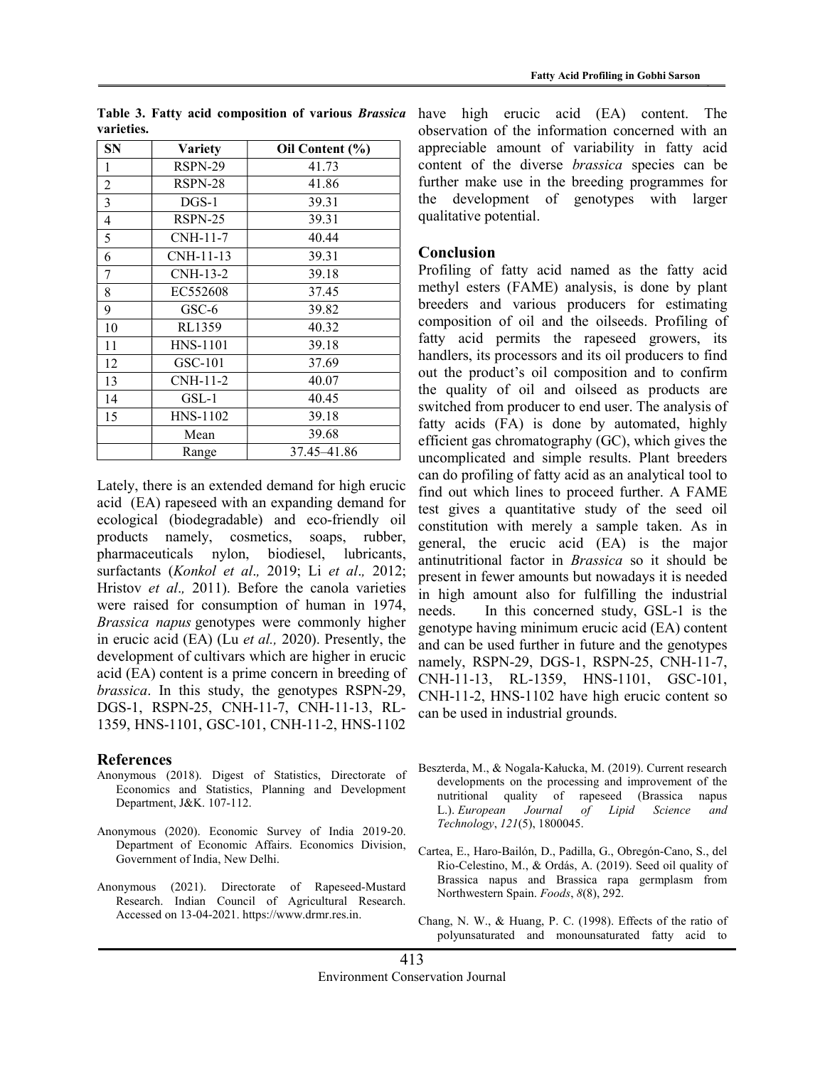| <b>SN</b> | <b>Variety</b>  | Oil Content (%) |  |  |  |
|-----------|-----------------|-----------------|--|--|--|
| 1         | RSPN-29         | 41.73           |  |  |  |
| 2         | RSPN-28         | 41.86           |  |  |  |
| 3         | $DGS-1$         | 39.31           |  |  |  |
| 4         | RSPN-25         | 39.31           |  |  |  |
| 5         | CNH-11-7        | 40.44           |  |  |  |
| 6         | CNH-11-13       | 39.31           |  |  |  |
| 7         | CNH-13-2        | 39.18           |  |  |  |
| 8         | EC552608        | 37.45           |  |  |  |
| 9         | $GSC-6$         | 39.82           |  |  |  |
| 10        | RL1359          | 40.32           |  |  |  |
| 11        | <b>HNS-1101</b> | 39.18           |  |  |  |
| 12        | $GSC-101$       | 37.69           |  |  |  |
| 13        | CNH-11-2        | 40.07           |  |  |  |
| 14        | $GSL-1$         | 40.45           |  |  |  |
| 15        | HNS-1102        | 39.18           |  |  |  |
|           | Mean            | 39.68           |  |  |  |
|           | Range           | 37.45-41.86     |  |  |  |

Table 3. Fatty acid composition of various Brassica varieties.

Lately, there is an extended demand for high erucic acid (EA) rapeseed with an expanding demand for ecological (biodegradable) and eco-friendly oil products namely, cosmetics, soaps, rubber, pharmaceuticals nylon, biodiesel, lubricants, surfactants (Konkol et al., 2019; Li et al., 2012; Hristov et al., 2011). Before the canola varieties were raised for consumption of human in 1974, Brassica napus genotypes were commonly higher in erucic acid (EA) (Lu et al., 2020). Presently, the development of cultivars which are higher in erucic acid (EA) content is a prime concern in breeding of brassica. In this study, the genotypes RSPN-29, DGS-1, RSPN-25, CNH-11-7, CNH-11-13, RL-1359, HNS-1101, GSC-101, CNH-11-2, HNS-1102

#### References

- Anonymous (2018). Digest of Statistics, Directorate of Economics and Statistics, Planning and Development Department, J&K. 107-112.
- Anonymous (2020). Economic Survey of India 2019-20. Department of Economic Affairs. Economics Division, Government of India, New Delhi.
- Anonymous (2021). Directorate of Rapeseed-Mustard Research. Indian Council of Agricultural Research. Accessed on 13-04-2021. https://www.drmr.res.in.

have high erucic acid (EA) content. The observation of the information concerned with an appreciable amount of variability in fatty acid content of the diverse brassica species can be further make use in the breeding programmes for the development of genotypes with larger qualitative potential.

## **Conclusion**

Profiling of fatty acid named as the fatty acid methyl esters (FAME) analysis, is done by plant breeders and various producers for estimating composition of oil and the oilseeds. Profiling of fatty acid permits the rapeseed growers, its handlers, its processors and its oil producers to find out the product's oil composition and to confirm the quality of oil and oilseed as products are switched from producer to end user. The analysis of fatty acids (FA) is done by automated, highly efficient gas chromatography (GC), which gives the uncomplicated and simple results. Plant breeders can do profiling of fatty acid as an analytical tool to find out which lines to proceed further. A FAME test gives a quantitative study of the seed oil constitution with merely a sample taken. As in general, the erucic acid (EA) is the major antinutritional factor in Brassica so it should be present in fewer amounts but nowadays it is needed in high amount also for fulfilling the industrial needs. In this concerned study, GSL-1 is the genotype having minimum erucic acid (EA) content and can be used further in future and the genotypes namely, RSPN-29, DGS-1, RSPN-25, CNH-11-7, CNH-11-13, RL-1359, HNS-1101, GSC-101, CNH-11-2, HNS-1102 have high erucic content so can be used in industrial grounds.

- Beszterda, M., & Nogala‐Kałucka, M. (2019). Current research developments on the processing and improvement of the nutritional quality of rapeseed (Brassica napus L.). European Journal of Lipid Science and Technology, 121(5), 1800045.
- Cartea, E., Haro-Bailón, D., Padilla, G., Obregón-Cano, S., del Rio-Celestino, M., & Ordás, A. (2019). Seed oil quality of Brassica napus and Brassica rapa germplasm from Northwestern Spain. Foods, 8(8), 292.
- Chang, N. W., & Huang, P. C. (1998). Effects of the ratio of polyunsaturated and monounsaturated fatty acid to